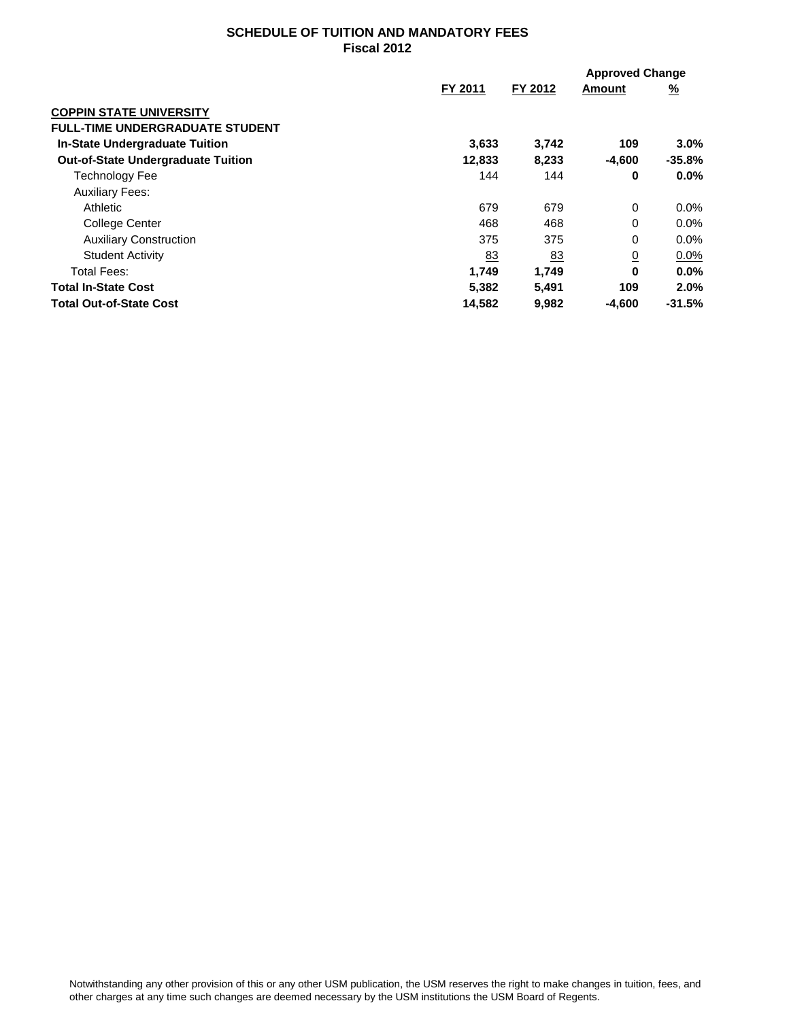## **SCHEDULE OF TUITION AND MANDATORY FEES Fiscal 2012**

|                                           |         |           | <b>Approved Change</b> |          |
|-------------------------------------------|---------|-----------|------------------------|----------|
|                                           | FY 2011 | FY 2012   | Amount                 | <u>%</u> |
| <b>COPPIN STATE UNIVERSITY</b>            |         |           |                        |          |
| <b>FULL-TIME UNDERGRADUATE STUDENT</b>    |         |           |                        |          |
| <b>In-State Undergraduate Tuition</b>     | 3,633   | 3,742     | 109                    | 3.0%     |
| <b>Out-of-State Undergraduate Tuition</b> | 12,833  | 8,233     | -4,600                 | $-35.8%$ |
| <b>Technology Fee</b>                     | 144     | 144       | 0                      | $0.0\%$  |
| <b>Auxiliary Fees:</b>                    |         |           |                        |          |
| Athletic                                  | 679     | 679       | $\Omega$               | 0.0%     |
| College Center                            | 468     | 468       | 0                      | 0.0%     |
| <b>Auxiliary Construction</b>             | 375     | 375       | 0                      | 0.0%     |
| <b>Student Activity</b>                   | 83      | <u>83</u> | $\overline{0}$         | $0.0\%$  |
| <b>Total Fees:</b>                        | 1,749   | 1.749     | $\bf{0}$               | 0.0%     |
| <b>Total In-State Cost</b>                | 5,382   | 5,491     | 109                    | 2.0%     |
| <b>Total Out-of-State Cost</b>            | 14,582  | 9,982     | -4,600                 | $-31.5%$ |